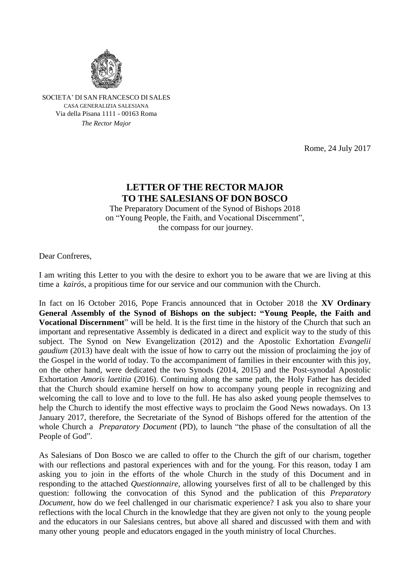

SOCIETA' DI SAN FRANCESCO DI SALES CASA GENERALIZIA SALESIANA Via della Pisana 1111 - 00163 Roma *The Rector Major*

Rome, 24 July 2017

## **LETTER OF THE RECTOR MAJOR TO THE SALESIANS OF DON BOSCO**

The Preparatory Document of the Synod of Bishops 2018 on "Young People, the Faith, and Vocational Discernment", the compass for our journey.

Dear Confreres,

I am writing this Letter to you with the desire to exhort you to be aware that we are living at this time a *kairós*, a propitious time for our service and our communion with the Church.

In fact on l6 October 2016, Pope Francis announced that in October 2018 the **XV Ordinary General Assembly of the Synod of Bishops on the subject: "Young People, the Faith and Vocational Discernment**" will be held. It is the first time in the history of the Church that such an important and representative Assembly is dedicated in a direct and explicit way to the study of this subject. The Synod on New Evangelization (2012) and the Apostolic Exhortation *Evangelii gaudium* (2013) have dealt with the issue of how to carry out the mission of proclaiming the joy of the Gospel in the world of today. To the accompaniment of families in their encounter with this joy, on the other hand, were dedicated the two Synods (2014, 2015) and the Post-synodal Apostolic Exhortation *Amoris laetitia* (2016). Continuing along the same path, the Holy Father has decided that the Church should examine herself on how to accompany young people in recognizing and welcoming the call to love and to love to the full. He has also asked young people themselves to help the Church to identify the most effective ways to proclaim the Good News nowadays. On 13 January 2017, therefore, the Secretariate of the Synod of Bishops offered for the attention of the whole Church a *Preparatory Document* (PD), to launch "the phase of the consultation of all the People of God".

As Salesians of Don Bosco we are called to offer to the Church the gift of our charism, together with our reflections and pastoral experiences with and for the young. For this reason, today I am asking you to join in the efforts of the whole Church in the study of this Document and in responding to the attached *Questionnaire*, allowing yourselves first of all to be challenged by this question: following the convocation of this Synod and the publication of this *Preparatory Document*, how do we feel challenged in our charismatic experience? I ask you also to share your reflections with the local Church in the knowledge that they are given not only to the young people and the educators in our Salesians centres, but above all shared and discussed with them and with many other young people and educators engaged in the youth ministry of local Churches.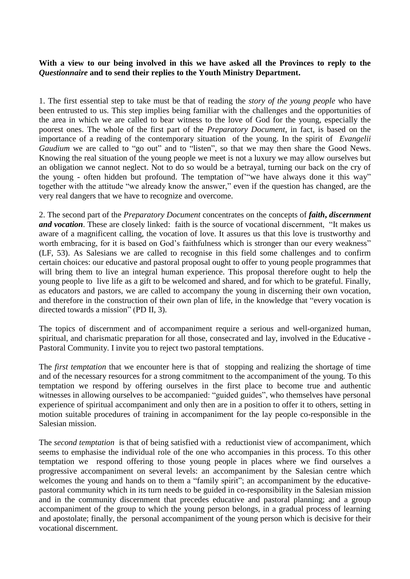**With a view to our being involved in this we have asked all the Provinces to reply to the**  *Questionnaire* **and to send their replies to the Youth Ministry Department.**

1. The first essential step to take must be that of reading the *story of the young people* who have been entrusted to us. This step implies being familiar with the challenges and the opportunities of the area in which we are called to bear witness to the love of God for the young, especially the poorest ones. The whole of the first part of the *Preparatory Document*, in fact, is based on the importance of a reading of the contemporary situation of the young. In the spirit of *Evangelii Gaudium* we are called to "go out" and to "listen", so that we may then share the Good News. Knowing the real situation of the young people we meet is not a luxury we may allow ourselves but an obligation we cannot neglect. Not to do so would be a betrayal, turning our back on the cry of the young - often hidden but profound. The temptation of'"we have always done it this way" together with the attitude "we already know the answer," even if the question has changed, are the very real dangers that we have to recognize and overcome.

2. The second part of the *Preparatory Document* concentrates on the concepts of *faith***,** *discernment and vocation*. These are closely linked: faith is the source of vocational discernment, "It makes us aware of a magnificent calling, the vocation of love. It assures us that this love is trustworthy and worth embracing, for it is based on God's faithfulness which is stronger than our every weakness" (LF, 53). As Salesians we are called to recognise in this field some challenges and to confirm certain choices: our educative and pastoral proposal ought to offer to young people programmes that will bring them to live an integral human experience. This proposal therefore ought to help the young people to live life as a gift to be welcomed and shared, and for which to be grateful. Finally, as educators and pastors, we are called to accompany the young in discerning their own vocation, and therefore in the construction of their own plan of life, in the knowledge that "every vocation is directed towards a mission" (PD II, 3).

The topics of discernment and of accompaniment require a serious and well-organized human, spiritual, and charismatic preparation for all those, consecrated and lay, involved in the Educative - Pastoral Community. I invite you to reject two pastoral temptations.

The *first temptation* that we encounter here is that of stopping and realizing the shortage of time and of the necessary resources for a strong commitment to the accompaniment of the young. To this temptation we respond by offering ourselves in the first place to become true and authentic witnesses in allowing ourselves to be accompanied: "guided guides", who themselves have personal experience of spiritual accompaniment and only then are in a position to offer it to others, setting in motion suitable procedures of training in accompaniment for the lay people co-responsible in the Salesian mission.

The *second temptation* is that of being satisfied with a reductionist view of accompaniment, which seems to emphasise the individual role of the one who accompanies in this process. To this other temptation we respond offering to those young people in places where we find ourselves a progressive accompaniment on several levels: an accompaniment by the Salesian centre which welcomes the young and hands on to them a "family spirit"; an accompaniment by the educativepastoral community which in its turn needs to be guided in co-responsibility in the Salesian mission and in the community discernment that precedes educative and pastoral planning; and a group accompaniment of the group to which the young person belongs, in a gradual process of learning and apostolate; finally, the personal accompaniment of the young person which is decisive for their vocational discernment.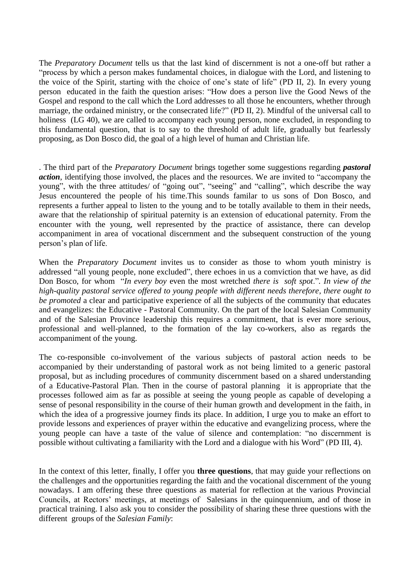The *Preparatory Document* tells us that the last kind of discernment is not a one-off but rather a "process by which a person makes fundamental choices, in dialogue with the Lord, and listening to the voice of the Spirit, starting with the choice of one's state of life" (PD II, 2). In every young person educated in the faith the question arises: "How does a person live the Good News of the Gospel and respond to the call which the Lord addresses to all those he encounters, whether through marriage, the ordained ministry, or the consecrated life?" (PD II, 2). Mindful of the universal call to holiness (LG 40), we are called to accompany each young person, none excluded, in responding to this fundamental question, that is to say to the threshold of adult life, gradually but fearlessly proposing, as Don Bosco did, the goal of a high level of human and Christian life.

. The third part of the *Preparatory Document* brings together some suggestions regarding *pastoral action*, identifying those involved, the places and the resources. We are invited to "accompany the young", with the three attitudes/ of "going out", "seeing" and "calling", which describe the way Jesus encountered the people of his time.This sounds familar to us sons of Don Bosco, and represents a further appeal to listen to the young and to be totally available to them in their needs, aware that the relationship of spiritual paternity is an extension of educational paternity. From the encounter with the young, well represented by the practice of assistance, there can develop accompaniment in area of vocational discernment and the subsequent construction of the young person's plan of life.

When the *Preparatory Document* invites us to consider as those to whom youth ministry is addressed "all young people, none excluded", there echoes in us a comviction that we have, as did Don Bosco, for whom "*In every boy* even the most wretched *there is soft spot*."*. In view of the high-quality pastoral service offered to young people with different needs therefore, there ought to be promoted* a clear and participative experience of all the subjects of the community that educates and evangelizes: the Educative - Pastoral Community. On the part of the local Salesian Community and of the Salesian Province leadership this requires a commitment, that is ever more serious, professional and well-planned, to the formation of the lay co-workers, also as regards the accompaniment of the young.

The co-responsible co-involvement of the various subjects of pastoral action needs to be accompanied by their understanding of pastoral work as not being limited to a generic pastoral proposal, but as including procedures of community discernment based on a shared understanding of a Educative-Pastoral Plan. Then in the course of pastoral planning it is appropriate that the processes followed aim as far as possible at seeing the young people as capable of developing a sense of pesonal responsibility in the course of their human growth and development in the faith, in which the idea of a progressive journey finds its place. In addition, I urge you to make an effort to provide lessons and experiences of prayer within the educative and evangelizing process, where the young people can have a taste of the value of silence and contemplation: "no discernment is possible without cultivating a familiarity with the Lord and a dialogue with his Word" (PD III, 4).

In the context of this letter, finally, I offer you **three questions**, that may guide your reflections on the challenges and the opportunities regarding the faith and the vocational discernment of the young nowadays. I am offering these three questions as material for reflection at the various Provincial Councils, at Rectors' meetings, at meetings of Salesians in the quinquennium, and of those in practical training. I also ask you to consider the possibility of sharing these three questions with the different groups of the *Salesian Family*: